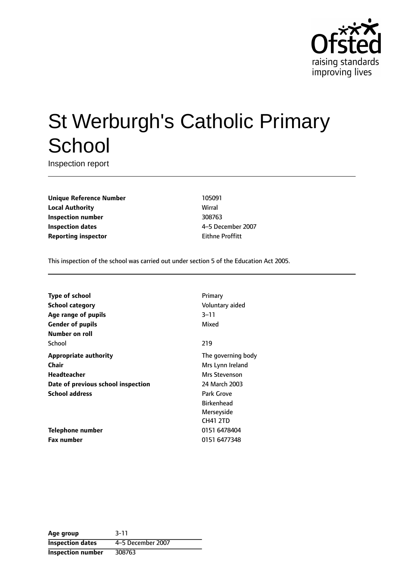

# St Werburgh's Catholic Primary **School**

Inspection report

**Unique Reference Number** 105091 **Local Authority** Wirral **Inspection number** 308763 **Inspection dates** 4-5 December 2007 **Reporting inspector Eithne Proffitt** 

This inspection of the school was carried out under section 5 of the Education Act 2005.

| <b>Type of school</b>              | Primary            |
|------------------------------------|--------------------|
| <b>School category</b>             | Voluntary aided    |
| Age range of pupils                | $3 - 11$           |
| <b>Gender of pupils</b>            | Mixed              |
| Number on roll                     |                    |
| School                             | 219                |
| Appropriate authority              | The governing body |
| Chair                              | Mrs Lynn Ireland   |
| Headteacher                        | Mrs Stevenson      |
| Date of previous school inspection | 24 March 2003      |
| <b>School address</b>              | Park Grove         |
|                                    | <b>Birkenhead</b>  |
|                                    | Merseyside         |
|                                    | <b>CH41 2TD</b>    |
| Telephone number                   | 0151 6478404       |
| <b>Fax number</b>                  | 0151 6477348       |

**Age group** 3-11 **Inspection dates** 4-5 December 2007 **Inspection number** 308763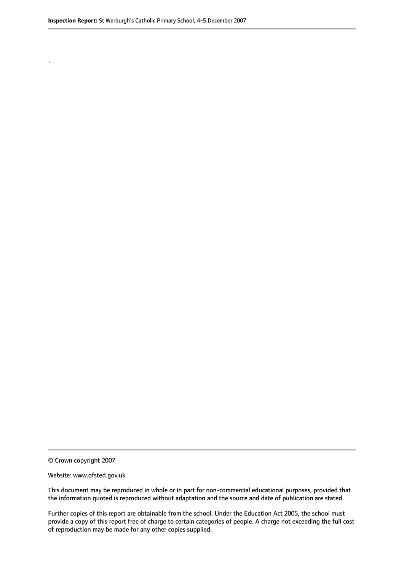.

© Crown copyright 2007

#### Website: www.ofsted.gov.uk

This document may be reproduced in whole or in part for non-commercial educational purposes, provided that the information quoted is reproduced without adaptation and the source and date of publication are stated.

Further copies of this report are obtainable from the school. Under the Education Act 2005, the school must provide a copy of this report free of charge to certain categories of people. A charge not exceeding the full cost of reproduction may be made for any other copies supplied.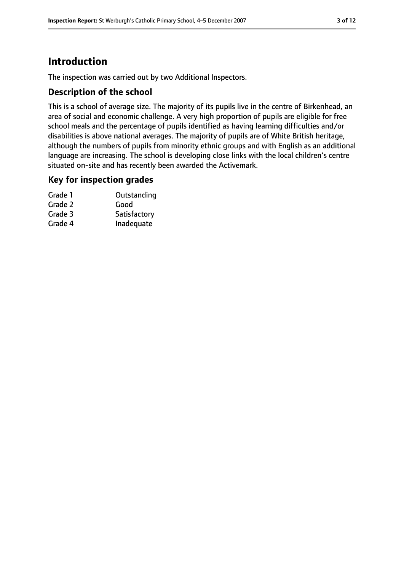# **Introduction**

The inspection was carried out by two Additional Inspectors.

## **Description of the school**

This is a school of average size. The majority of its pupils live in the centre of Birkenhead, an area of social and economic challenge. A very high proportion of pupils are eligible for free school meals and the percentage of pupils identified as having learning difficulties and/or disabilities is above national averages. The majority of pupils are of White British heritage, although the numbers of pupils from minority ethnic groups and with English as an additional language are increasing. The school is developing close links with the local children's centre situated on-site and has recently been awarded the Activemark.

#### **Key for inspection grades**

| Outstanding  |
|--------------|
| Good         |
| Satisfactory |
| Inadequate   |
|              |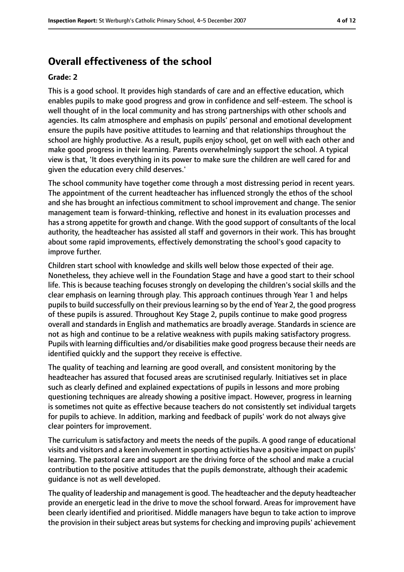# **Overall effectiveness of the school**

#### **Grade: 2**

This is a good school. It provides high standards of care and an effective education, which enables pupils to make good progress and grow in confidence and self-esteem. The school is well thought of in the local community and has strong partnerships with other schools and agencies. Its calm atmosphere and emphasis on pupils' personal and emotional development ensure the pupils have positive attitudes to learning and that relationships throughout the school are highly productive. As a result, pupils enjoy school, get on well with each other and make good progress in their learning. Parents overwhelmingly support the school. A typical view is that, 'It does everything in its power to make sure the children are well cared for and given the education every child deserves.'

The school community have together come through a most distressing period in recent years. The appointment of the current headteacher has influenced strongly the ethos of the school and she has brought an infectious commitment to school improvement and change. The senior management team is forward-thinking, reflective and honest in its evaluation processes and has a strong appetite for growth and change. With the good support of consultants of the local authority, the headteacher has assisted all staff and governors in their work. This has brought about some rapid improvements, effectively demonstrating the school's good capacity to improve further.

Children start school with knowledge and skills well below those expected of their age. Nonetheless, they achieve well in the Foundation Stage and have a good start to their school life. This is because teaching focuses strongly on developing the children's social skills and the clear emphasis on learning through play. This approach continues through Year 1 and helps pupils to build successfully on their previous learning so by the end of Year 2, the good progress of these pupils is assured. Throughout Key Stage 2, pupils continue to make good progress overall and standards in English and mathematics are broadly average. Standards in science are not as high and continue to be a relative weakness with pupils making satisfactory progress. Pupils with learning difficulties and/or disabilities make good progress because their needs are identified quickly and the support they receive is effective.

The quality of teaching and learning are good overall, and consistent monitoring by the headteacher has assured that focused areas are scrutinised regularly. Initiatives set in place such as clearly defined and explained expectations of pupils in lessons and more probing questioning techniques are already showing a positive impact. However, progress in learning is sometimes not quite as effective because teachers do not consistently set individual targets for pupils to achieve. In addition, marking and feedback of pupils' work do not always give clear pointers for improvement.

The curriculum is satisfactory and meets the needs of the pupils. A good range of educational visits and visitors and a keen involvement in sporting activities have a positive impact on pupils' learning. The pastoral care and support are the driving force of the school and make a crucial contribution to the positive attitudes that the pupils demonstrate, although their academic guidance is not as well developed.

The quality of leadership and management is good. The headteacher and the deputy headteacher provide an energetic lead in the drive to move the school forward. Areas for improvement have been clearly identified and prioritised. Middle managers have begun to take action to improve the provision in their subject areas but systems for checking and improving pupils' achievement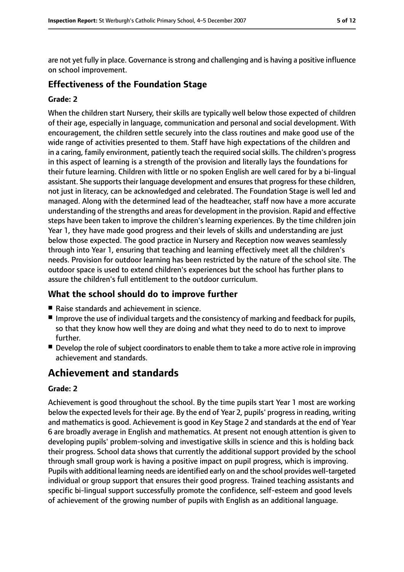are not yet fully in place. Governance is strong and challenging and is having a positive influence on school improvement.

#### **Effectiveness of the Foundation Stage**

#### **Grade: 2**

When the children start Nursery, their skills are typically well below those expected of children of their age, especially in language, communication and personal and social development. With encouragement, the children settle securely into the class routines and make good use of the wide range of activities presented to them. Staff have high expectations of the children and in a caring, family environment, patiently teach the required social skills. The children's progress in this aspect of learning is a strength of the provision and literally lays the foundations for their future learning. Children with little or no spoken English are well cared for by a bi-lingual assistant. She supports their language development and ensures that progress for these children, not just in literacy, can be acknowledged and celebrated. The Foundation Stage is well led and managed. Along with the determined lead of the headteacher, staff now have a more accurate understanding of the strengths and areasfor development in the provision. Rapid and effective steps have been taken to improve the children's learning experiences. By the time children join Year 1, they have made good progress and their levels of skills and understanding are just below those expected. The good practice in Nursery and Reception now weaves seamlessly through into Year 1, ensuring that teaching and learning effectively meet all the children's needs. Provision for outdoor learning has been restricted by the nature of the school site. The outdoor space is used to extend children's experiences but the school has further plans to assure the children's full entitlement to the outdoor curriculum.

## **What the school should do to improve further**

- Raise standards and achievement in science.
- Improve the use of individual targets and the consistency of marking and feedback for pupils, so that they know how well they are doing and what they need to do to next to improve further.
- Develop the role of subject coordinators to enable them to take a more active role in improving achievement and standards.

# **Achievement and standards**

#### **Grade: 2**

Achievement is good throughout the school. By the time pupils start Year 1 most are working below the expected levels for their age. By the end of Year 2, pupils' progress in reading, writing and mathematics is good. Achievement is good in Key Stage 2 and standards at the end of Year 6 are broadly average in English and mathematics. At present not enough attention is given to developing pupils' problem-solving and investigative skills in science and this is holding back their progress. School data shows that currently the additional support provided by the school through small group work is having a positive impact on pupil progress, which is improving. Pupils with additional learning needs are identified early on and the school provides well-targeted individual or group support that ensures their good progress. Trained teaching assistants and specific bi-lingual support successfully promote the confidence, self-esteem and good levels of achievement of the growing number of pupils with English as an additional language.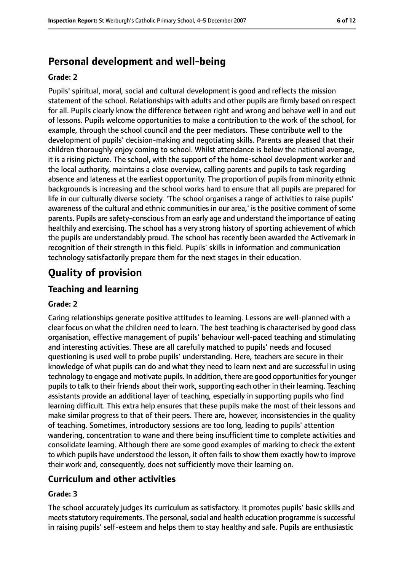# **Personal development and well-being**

#### **Grade: 2**

Pupils' spiritual, moral, social and cultural development is good and reflects the mission statement of the school. Relationships with adults and other pupils are firmly based on respect for all. Pupils clearly know the difference between right and wrong and behave well in and out of lessons. Pupils welcome opportunities to make a contribution to the work of the school, for example, through the school council and the peer mediators. These contribute well to the development of pupils' decision-making and negotiating skills. Parents are pleased that their children thoroughly enjoy coming to school. Whilst attendance is below the national average, it is a rising picture. The school, with the support of the home-school development worker and the local authority, maintains a close overview, calling parents and pupils to task regarding absence and lateness at the earliest opportunity. The proportion of pupils from minority ethnic backgrounds is increasing and the school works hard to ensure that all pupils are prepared for life in our culturally diverse society. 'The school organises a range of activities to raise pupils' awareness of the cultural and ethnic communities in our area,' is the positive comment of some parents. Pupils are safety-conscious from an early age and understand the importance of eating healthily and exercising. The school has a very strong history of sporting achievement of which the pupils are understandably proud. The school has recently been awarded the Activemark in recognition of their strength in this field. Pupils' skills in information and communication technology satisfactorily prepare them for the next stages in their education.

# **Quality of provision**

## **Teaching and learning**

#### **Grade: 2**

Caring relationships generate positive attitudes to learning. Lessons are well-planned with a clear focus on what the children need to learn. The best teaching is characterised by good class organisation, effective management of pupils' behaviour well-paced teaching and stimulating and interesting activities. These are all carefully matched to pupils' needs and focused questioning is used well to probe pupils' understanding. Here, teachers are secure in their knowledge of what pupils can do and what they need to learn next and are successful in using technology to engage and motivate pupils. In addition, there are good opportunities for younger pupils to talk to their friends about their work, supporting each other in their learning. Teaching assistants provide an additional layer of teaching, especially in supporting pupils who find learning difficult. This extra help ensures that these pupils make the most of their lessons and make similar progress to that of their peers. There are, however, inconsistencies in the quality of teaching. Sometimes, introductory sessions are too long, leading to pupils' attention wandering, concentration to wane and there being insufficient time to complete activities and consolidate learning. Although there are some good examples of marking to check the extent to which pupils have understood the lesson, it often fails to show them exactly how to improve their work and, consequently, does not sufficiently move their learning on.

#### **Curriculum and other activities**

#### **Grade: 3**

The school accurately judges its curriculum as satisfactory. It promotes pupils' basic skills and meets statutory requirements. The personal, social and health education programme is successful in raising pupils' self-esteem and helps them to stay healthy and safe. Pupils are enthusiastic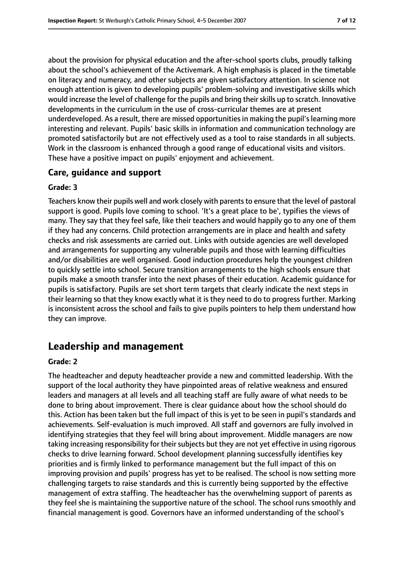about the provision for physical education and the after-school sports clubs, proudly talking about the school's achievement of the Activemark. A high emphasis is placed in the timetable on literacy and numeracy, and other subjects are given satisfactory attention. In science not enough attention is given to developing pupils' problem-solving and investigative skills which would increase the level of challenge for the pupils and bring their skills up to scratch. Innovative developments in the curriculum in the use of cross-curricular themes are at present underdeveloped. As a result, there are missed opportunities in making the pupil's learning more interesting and relevant. Pupils' basic skills in information and communication technology are promoted satisfactorily but are not effectively used as a tool to raise standards in all subjects. Work in the classroom is enhanced through a good range of educational visits and visitors. These have a positive impact on pupils' enjoyment and achievement.

## **Care, guidance and support**

#### **Grade: 3**

Teachers know their pupils well and work closely with parents to ensure that the level of pastoral support is good. Pupils love coming to school. 'It's a great place to be', typifies the views of many. They say that they feel safe, like their teachers and would happily go to any one of them if they had any concerns. Child protection arrangements are in place and health and safety checks and risk assessments are carried out. Links with outside agencies are well developed and arrangements for supporting any vulnerable pupils and those with learning difficulties and/or disabilities are well organised. Good induction procedures help the youngest children to quickly settle into school. Secure transition arrangements to the high schools ensure that pupils make a smooth transfer into the next phases of their education. Academic guidance for pupils is satisfactory. Pupils are set short term targets that clearly indicate the next steps in their learning so that they know exactly what it is they need to do to progress further. Marking is inconsistent across the school and fails to give pupils pointers to help them understand how they can improve.

# **Leadership and management**

#### **Grade: 2**

The headteacher and deputy headteacher provide a new and committed leadership. With the support of the local authority they have pinpointed areas of relative weakness and ensured leaders and managers at all levels and all teaching staff are fully aware of what needs to be done to bring about improvement. There is clear guidance about how the school should do this. Action has been taken but the full impact of this is yet to be seen in pupil's standards and achievements. Self-evaluation is much improved. All staff and governors are fully involved in identifying strategies that they feel will bring about improvement. Middle managers are now taking increasing responsibility for their subjects but they are not yet effective in using rigorous checks to drive learning forward. School development planning successfully identifies key priorities and is firmly linked to performance management but the full impact of this on improving provision and pupils' progress has yet to be realised. The school is now setting more challenging targets to raise standards and this is currently being supported by the effective management of extra staffing. The headteacher has the overwhelming support of parents as they feel she is maintaining the supportive nature of the school. The school runs smoothly and financial management is good. Governors have an informed understanding of the school's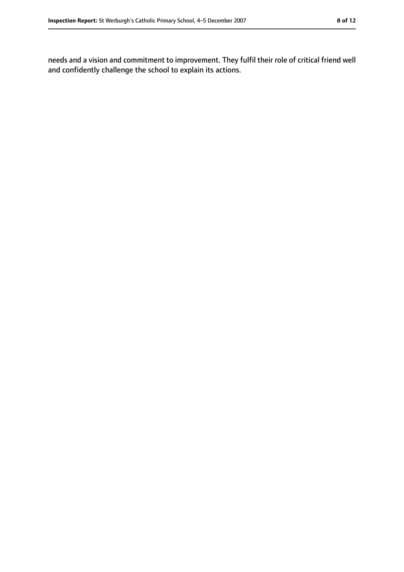needs and a vision and commitment to improvement. They fulfil their role of critical friend well and confidently challenge the school to explain its actions.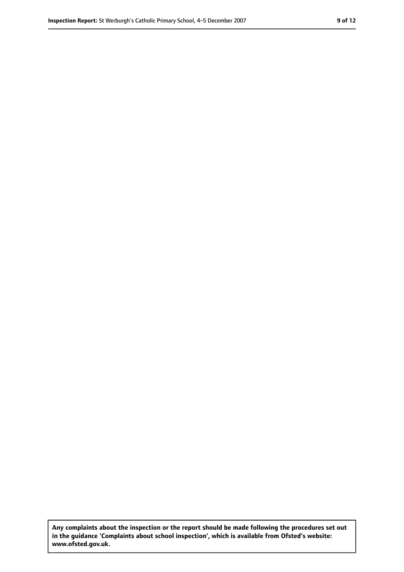**Any complaints about the inspection or the report should be made following the procedures set out in the guidance 'Complaints about school inspection', which is available from Ofsted's website: www.ofsted.gov.uk.**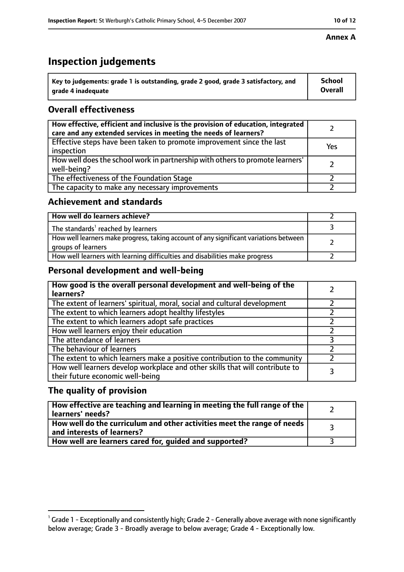# **Inspection judgements**

| $^{\backprime}$ Key to judgements: grade 1 is outstanding, grade 2 good, grade 3 satisfactory, and | <b>School</b>  |
|----------------------------------------------------------------------------------------------------|----------------|
| arade 4 inadequate                                                                                 | <b>Overall</b> |

## **Overall effectiveness**

| How effective, efficient and inclusive is the provision of education, integrated<br>care and any extended services in meeting the needs of learners? |     |
|------------------------------------------------------------------------------------------------------------------------------------------------------|-----|
| Effective steps have been taken to promote improvement since the last<br>inspection                                                                  | Yes |
| How well does the school work in partnership with others to promote learners'<br>well-being?                                                         |     |
| The effectiveness of the Foundation Stage                                                                                                            |     |
| The capacity to make any necessary improvements                                                                                                      |     |

## **Achievement and standards**

| How well do learners achieve?                                                                               |  |
|-------------------------------------------------------------------------------------------------------------|--|
| The standards <sup>1</sup> reached by learners                                                              |  |
| How well learners make progress, taking account of any significant variations between<br>groups of learners |  |
| How well learners with learning difficulties and disabilities make progress                                 |  |

## **Personal development and well-being**

| How good is the overall personal development and well-being of the<br>learners?                                  |  |
|------------------------------------------------------------------------------------------------------------------|--|
| The extent of learners' spiritual, moral, social and cultural development                                        |  |
| The extent to which learners adopt healthy lifestyles                                                            |  |
| The extent to which learners adopt safe practices                                                                |  |
| How well learners enjoy their education                                                                          |  |
| The attendance of learners                                                                                       |  |
| The behaviour of learners                                                                                        |  |
| The extent to which learners make a positive contribution to the community                                       |  |
| How well learners develop workplace and other skills that will contribute to<br>their future economic well-being |  |

## **The quality of provision**

| How effective are teaching and learning in meeting the full range of the<br>learners' needs?          |  |
|-------------------------------------------------------------------------------------------------------|--|
| How well do the curriculum and other activities meet the range of needs<br>and interests of learners? |  |
| How well are learners cared for, guided and supported?                                                |  |

#### **Annex A**

 $^1$  Grade 1 - Exceptionally and consistently high; Grade 2 - Generally above average with none significantly below average; Grade 3 - Broadly average to below average; Grade 4 - Exceptionally low.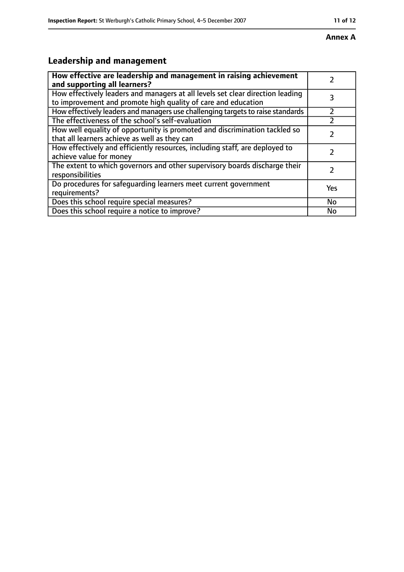#### **Annex A**

# **Leadership and management**

| How effective are leadership and management in raising achievement<br>and supporting all learners?                                              |     |
|-------------------------------------------------------------------------------------------------------------------------------------------------|-----|
| How effectively leaders and managers at all levels set clear direction leading<br>to improvement and promote high quality of care and education |     |
| How effectively leaders and managers use challenging targets to raise standards                                                                 |     |
| The effectiveness of the school's self-evaluation                                                                                               |     |
| How well equality of opportunity is promoted and discrimination tackled so<br>that all learners achieve as well as they can                     |     |
| How effectively and efficiently resources, including staff, are deployed to<br>achieve value for money                                          |     |
| The extent to which governors and other supervisory boards discharge their<br>responsibilities                                                  |     |
| Do procedures for safequarding learners meet current government<br>requirements?                                                                | Yes |
| Does this school require special measures?                                                                                                      | No  |
| Does this school require a notice to improve?                                                                                                   | No  |